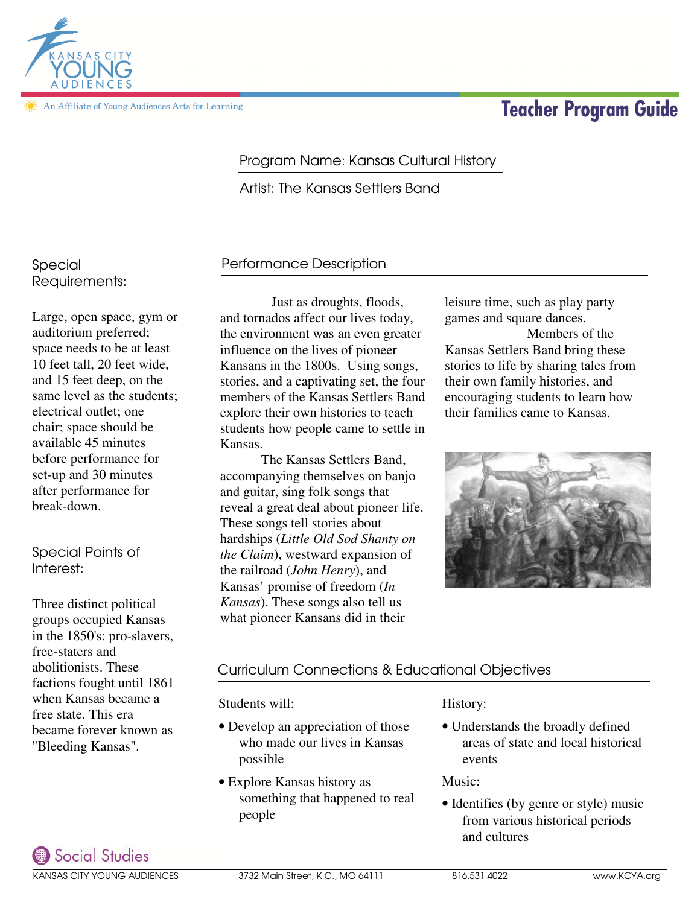Social Studies KANSAS CITY YOUNG AUDIENCES 3732 Main Street, K.C., MO 64111 816.531.4022 www.KCYA.org

# Program Name: Kansas Cultural History

Artist: The Kansas Settlers Band

## Performance Description

 Just as droughts, floods, and tornados affect our lives today, the environment was an even greater influence on the lives of pioneer Kansans in the 1800s. Using songs, stories, and a captivating set, the four members of the Kansas Settlers Band explore their own histories to teach students how people came to settle in Kansas.

 The Kansas Settlers Band, accompanying themselves on banjo and guitar, sing folk songs that reveal a great deal about pioneer life. These songs tell stories about hardships (*Little Old Sod Shanty on the Claim*), westward expansion of the railroad (*John Henry*), and Kansas' promise of freedom (*In Kansas*). These songs also tell us what pioneer Kansans did in their

leisure time, such as play party games and square dances.

Kansas Settlers Band bring these stories to life by sharing tales from their own family histories, and encouraging students to learn how their families came to Kansas.



## Curriculum Connections & Educational Objectives

## Students will:

- Develop an appreciation of those who made our lives in Kansas possible
- Explore Kansas history as something that happened to real people

History:

• Understands the broadly defined areas of state and local historical events

Music:

• Identifies (by genre or style) music from various historical periods and cultures

## Special Requirements:

Large, open space, gym or auditorium preferred; space needs to be at least 10 feet tall, 20 feet wide, and 15 feet deep, on the same level as the students; electrical outlet; one chair; space should be available 45 minutes before performance for set-up and 30 minutes after performance for break-down.

## Special Points of Interest:

Three distinct political groups occupied Kansas in the 1850's: pro-slavers, free-staters and abolitionists. These factions fought until 1861 when Kansas became a free state. This era became forever known as "Bleeding Kansas".